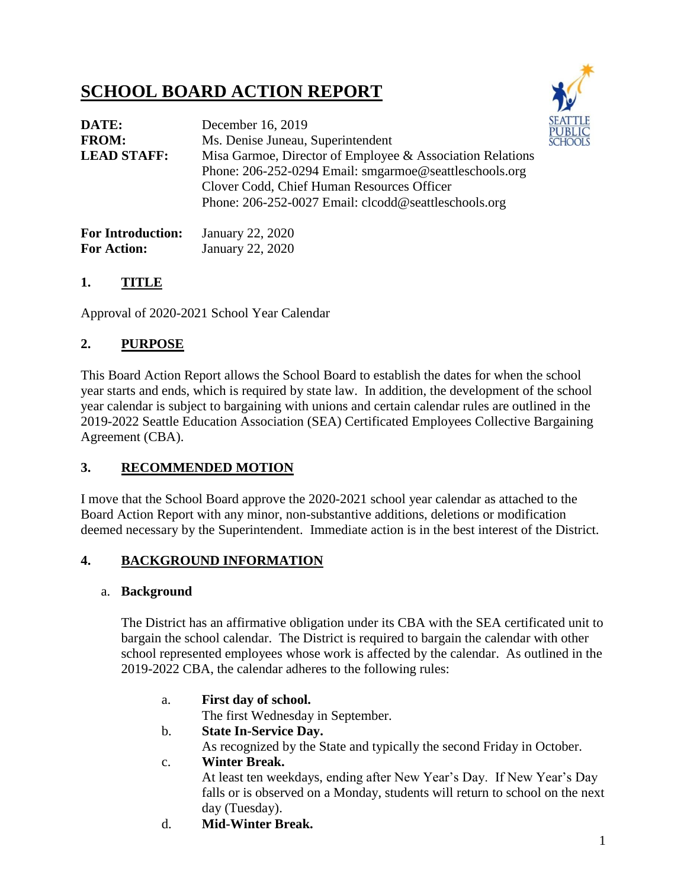## **SCHOOL BOARD ACTION REPORT**



| DATE:                    | December 16, 2019                                                                                                                                                                                                         |  |  |  |  |
|--------------------------|---------------------------------------------------------------------------------------------------------------------------------------------------------------------------------------------------------------------------|--|--|--|--|
| <b>FROM:</b>             | Ms. Denise Juneau, Superintendent                                                                                                                                                                                         |  |  |  |  |
| <b>LEAD STAFF:</b>       | Misa Garmoe, Director of Employee & Association Relations<br>Phone: 206-252-0294 Email: smgarmoe@seattleschools.org<br>Clover Codd, Chief Human Resources Officer<br>Phone: 206-252-0027 Email: clcodd@seattleschools.org |  |  |  |  |
| <b>For Introduction:</b> | January 22, 2020                                                                                                                                                                                                          |  |  |  |  |

# For Action: January 22, 2020

#### **1. TITLE**

Approval of 2020-2021 School Year Calendar

## **2. PURPOSE**

This Board Action Report allows the School Board to establish the dates for when the school year starts and ends, which is required by state law. In addition, the development of the school year calendar is subject to bargaining with unions and certain calendar rules are outlined in the 2019-2022 Seattle Education Association (SEA) Certificated Employees Collective Bargaining Agreement (CBA).

## **3. RECOMMENDED MOTION**

I move that the School Board approve the 2020-2021 school year calendar as attached to the Board Action Report with any minor, non-substantive additions, deletions or modification deemed necessary by the Superintendent. Immediate action is in the best interest of the District.

## **4. BACKGROUND INFORMATION**

#### a. **Background**

The District has an affirmative obligation under its CBA with the SEA certificated unit to bargain the school calendar. The District is required to bargain the calendar with other school represented employees whose work is affected by the calendar. As outlined in the 2019-2022 CBA, the calendar adheres to the following rules:

a. **First day of school.** 

The first Wednesday in September.

b. **State In-Service Day.**

As recognized by the State and typically the second Friday in October.

#### c. **Winter Break.**

At least ten weekdays, ending after New Year's Day. If New Year's Day falls or is observed on a Monday, students will return to school on the next day (Tuesday).

d. **Mid-Winter Break.**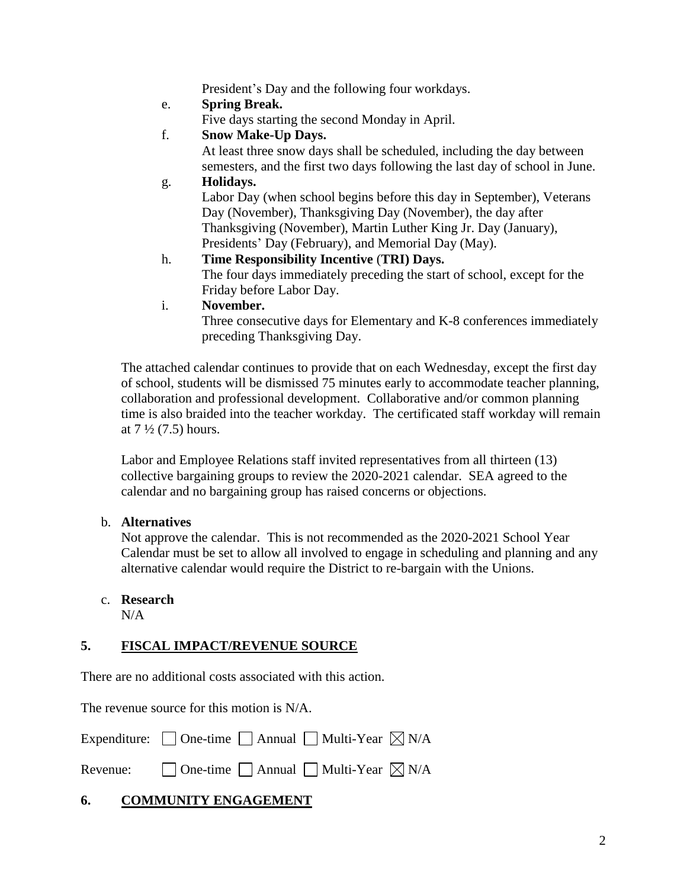President's Day and the following four workdays.

#### e. **Spring Break.**

Five days starting the second Monday in April.

#### f. **Snow Make-Up Days.**

At least three snow days shall be scheduled, including the day between semesters, and the first two days following the last day of school in June.

g. **Holidays.** Labor Day (when school begins before this day in September), Veterans Day (November), Thanksgiving Day (November), the day after Thanksgiving (November), Martin Luther King Jr. Day (January), Presidents' Day (February), and Memorial Day (May).

#### h. **Time Responsibility Incentive** (**TRI) Days.** The four days immediately preceding the start of school, except for the Friday before Labor Day.

i. **November.**

Three consecutive days for Elementary and K-8 conferences immediately preceding Thanksgiving Day.

The attached calendar continues to provide that on each Wednesday, except the first day of school, students will be dismissed 75 minutes early to accommodate teacher planning, collaboration and professional development. Collaborative and/or common planning time is also braided into the teacher workday. The certificated staff workday will remain at  $7\frac{1}{2}$  (7.5) hours.

Labor and Employee Relations staff invited representatives from all thirteen (13) collective bargaining groups to review the 2020-2021 calendar. SEA agreed to the calendar and no bargaining group has raised concerns or objections.

#### b. **Alternatives**

Not approve the calendar. This is not recommended as the 2020-2021 School Year Calendar must be set to allow all involved to engage in scheduling and planning and any alternative calendar would require the District to re-bargain with the Unions.

## c. **Research**

N/A

#### **5. FISCAL IMPACT/REVENUE SOURCE**

There are no additional costs associated with this action.

The revenue source for this motion is N/A.

Expenditure:  $\Box$  One-time  $\Box$  Annual  $\Box$  Multi-Year  $\boxtimes$  N/A

Revenue:  $\Box$  One-time  $\Box$  Annual  $\Box$  Multi-Year  $\boxtimes$  N/A

#### **6. COMMUNITY ENGAGEMENT**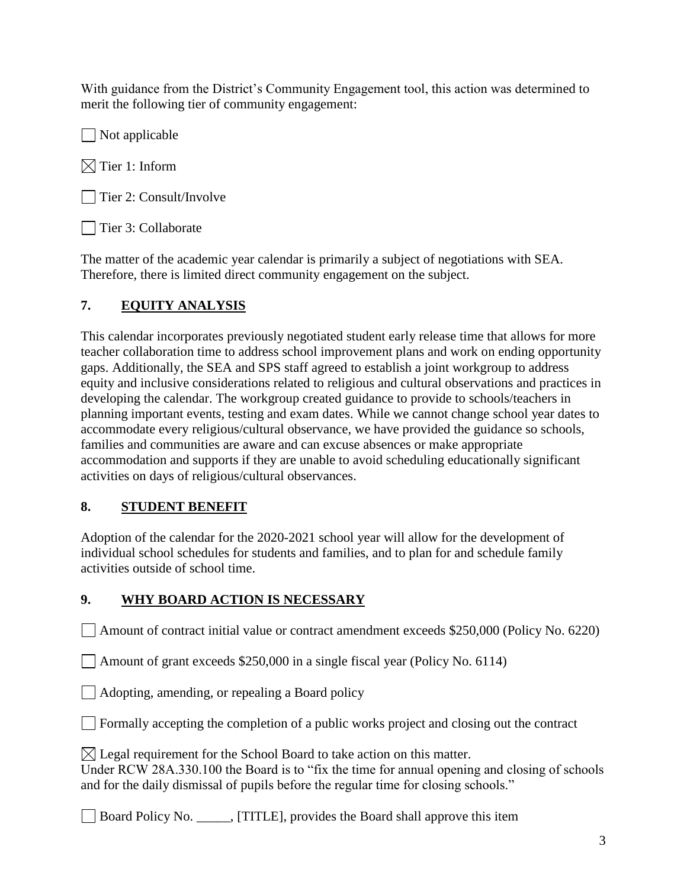With guidance from the District's Community Engagement tool, this action was determined to merit the following tier of community engagement:

 $\Box$  Not applicable

 $\boxtimes$  Tier 1: Inform

Tier 2: Consult/Involve

| Tier 3: Collaborate

The matter of the academic year calendar is primarily a subject of negotiations with SEA. Therefore, there is limited direct community engagement on the subject.

## **7. EQUITY ANALYSIS**

This calendar incorporates previously negotiated student early release time that allows for more teacher collaboration time to address school improvement plans and work on ending opportunity gaps. Additionally, the SEA and SPS staff agreed to establish a joint workgroup to address equity and inclusive considerations related to religious and cultural observations and practices in developing the calendar. The workgroup created guidance to provide to schools/teachers in planning important events, testing and exam dates. While we cannot change school year dates to accommodate every religious/cultural observance, we have provided the guidance so schools, families and communities are aware and can excuse absences or make appropriate accommodation and supports if they are unable to avoid scheduling educationally significant activities on days of religious/cultural observances.

#### **8. STUDENT BENEFIT**

Adoption of the calendar for the 2020-2021 school year will allow for the development of individual school schedules for students and families, and to plan for and schedule family activities outside of school time.

#### **9. WHY BOARD ACTION IS NECESSARY**

Amount of contract initial value or contract amendment exceeds \$250,000 (Policy No. 6220)

Amount of grant exceeds \$250,000 in a single fiscal year (Policy No. 6114)

Adopting, amending, or repealing a Board policy

 $\Box$  Formally accepting the completion of a public works project and closing out the contract

 $\boxtimes$  Legal requirement for the School Board to take action on this matter.

Under RCW 28A.330.100 the Board is to "fix the time for annual opening and closing of schools and for the daily dismissal of pupils before the regular time for closing schools."

Board Policy No. \_\_\_\_\_, [TITLE], provides the Board shall approve this item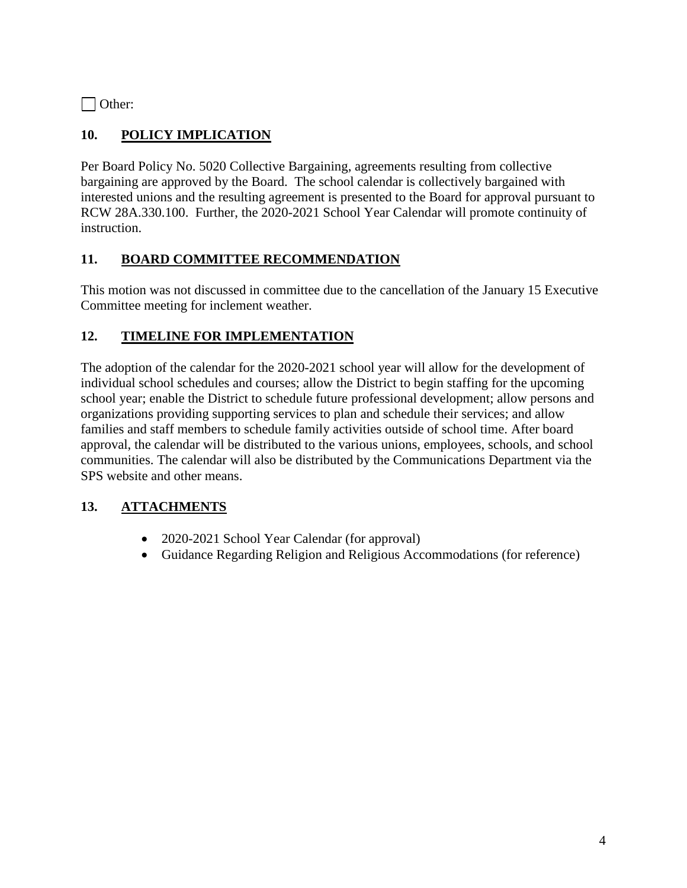Other:

#### **10. POLICY IMPLICATION**

Per Board Policy No. 5020 Collective Bargaining, agreements resulting from collective bargaining are approved by the Board. The school calendar is collectively bargained with interested unions and the resulting agreement is presented to the Board for approval pursuant to RCW 28A.330.100. Further, the 2020-2021 School Year Calendar will promote continuity of instruction.

#### **11. BOARD COMMITTEE RECOMMENDATION**

This motion was not discussed in committee due to the cancellation of the January 15 Executive Committee meeting for inclement weather.

#### **12. TIMELINE FOR IMPLEMENTATION**

The adoption of the calendar for the 2020-2021 school year will allow for the development of individual school schedules and courses; allow the District to begin staffing for the upcoming school year; enable the District to schedule future professional development; allow persons and organizations providing supporting services to plan and schedule their services; and allow families and staff members to schedule family activities outside of school time. After board approval, the calendar will be distributed to the various unions, employees, schools, and school communities. The calendar will also be distributed by the Communications Department via the SPS website and other means.

#### **13. ATTACHMENTS**

- 2020-2021 School Year Calendar (for approval)
- Guidance Regarding Religion and Religious Accommodations (for reference)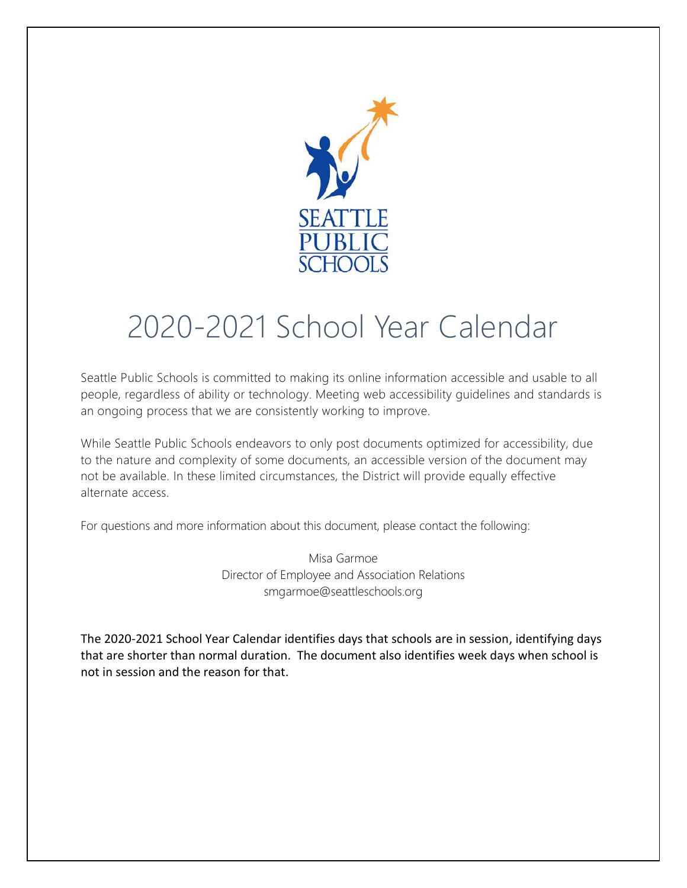

# 2020-2021 School Year Calendar

Seattle Public Schools is committed to making its online information accessible and usable to all people, regardless of ability or technology. Meeting web accessibility guidelines and standards is an ongoing process that we are consistently working to improve.

While Seattle Public Schools endeavors to only post documents optimized for accessibility, due to the nature and complexity of some documents, an accessible version of the document may not be available. In these limited circumstances, the District will provide equally effective alternate access.

For questions and more information about this document, please contact the following:

Misa Garmoe Director of Employee and Association Relations smgarmoe@seattleschools.org

The 2020-2021 School Year Calendar identifies days that schools are in session, identifying days that are shorter than normal duration. The document also identifies week days when school is not in session and the reason for that.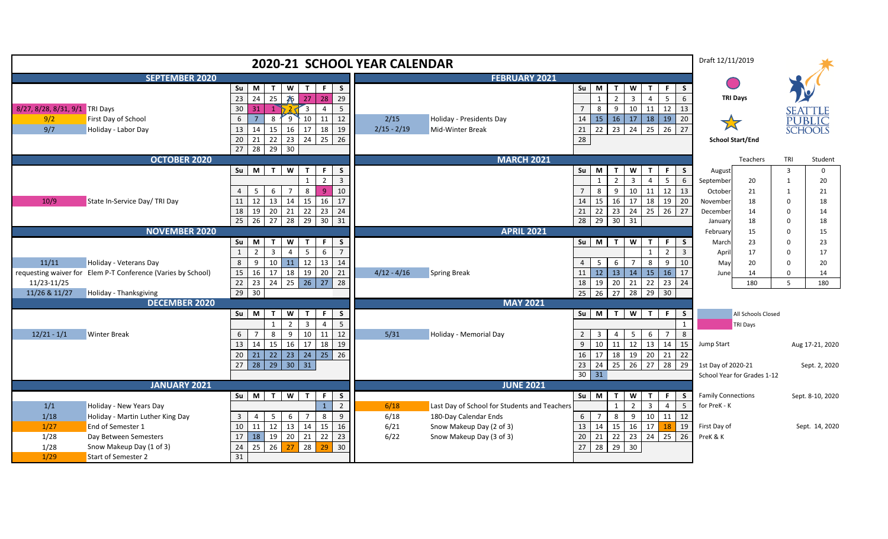| <b>2020-21 SCHOOL YEAR CALENDAR</b>           |                                                              |                                                                                                                                                                                            |                       |                                              |                                                                                                                                             | Draft 12/11/2019                     |                             |                |                                            |
|-----------------------------------------------|--------------------------------------------------------------|--------------------------------------------------------------------------------------------------------------------------------------------------------------------------------------------|-----------------------|----------------------------------------------|---------------------------------------------------------------------------------------------------------------------------------------------|--------------------------------------|-----------------------------|----------------|--------------------------------------------|
| <b>SEPTEMBER 2020</b><br><b>FEBRUARY 2021</b> |                                                              |                                                                                                                                                                                            |                       |                                              |                                                                                                                                             |                                      |                             |                |                                            |
|                                               |                                                              | W<br>$\mathbf{T}$<br>$\mathsf F$<br>$\operatorname{\mathsf{Su}}$<br>$M$ $T$<br>$\mathsf{s}$<br>23<br>$24$<br>25<br>26 27<br>28<br>29                                                       |                       |                                              | W<br>$Su$ M<br>$\mathsf{T}$<br>$\mathbf{T}$<br>F.<br>$\overline{2}$<br>$\overline{3}$<br>$5^{\circ}$<br>$\overline{4}$<br>$\overline{1}$    | <sub>S</sub><br><b>TRI Days</b><br>6 |                             |                |                                            |
| 8/27, 8/28, 8/31, 9/1 TRI Days<br>9/2<br>9/7  | First Day of School<br>Holiday - Labor Day                   | 30<br>31<br>5<br>$\mathbf{1}$<br>$\overline{3}$<br>$\overline{a}$<br>10<br>$6\phantom{.}6$<br>$\overline{7}$<br>11<br>12<br>8<br>$9^{\circ}$<br>17<br>$13\,$<br>14<br>16<br>18<br>15<br>19 | 2/15<br>$2/15 - 2/19$ | Holiday - Presidents Day<br>Mid-Winter Break | $9\,$<br>12<br>$\overline{7}$<br>8<br>10<br>11<br>13<br>15<br>$16$ 17<br>14<br>18<br>19<br>20<br>22<br>$23 \mid 24$<br>21<br>25<br>26<br>27 | 大                                    |                             |                | <b>SEATTLE</b><br>PUBLIC<br><b>SCHOOLS</b> |
|                                               |                                                              | 25<br>$20\,$<br>22<br>23<br>24<br>21<br>26<br>$\overline{27}$<br>28 29 30                                                                                                                  |                       |                                              | 28                                                                                                                                          |                                      | <b>School Start/End</b>     |                |                                            |
|                                               | <b>OCTOBER 2020</b>                                          |                                                                                                                                                                                            |                       | <b>MARCH 2021</b>                            |                                                                                                                                             |                                      | Teachers                    | TRI            | Student                                    |
|                                               |                                                              | $M$ T<br>$\overline{\mathsf{S}}$<br>$\mathsf{S}\mathsf{u}$<br>F.<br>S<br>$\mathbf{T}$                                                                                                      |                       |                                              | Su M<br>W<br>$\mathbf{T}$<br>$\mathbf{T}$<br>F.<br>S.                                                                                       | August                               |                             | $\overline{3}$ | $\mathbf 0$                                |
|                                               |                                                              | $\overline{2}$<br>$\overline{3}$                                                                                                                                                           |                       |                                              | $\overline{3}$<br>$5\overline{)}$<br>$\overline{2}$<br>$\overline{4}$<br>6<br>$\overline{1}$                                                | September                            | 20                          | $\mathbf{1}$   | 20                                         |
|                                               |                                                              | 8<br>$\mathbf{q}$<br>10<br>$\overline{4}$<br>$5^{\circ}$<br>6<br>7                                                                                                                         |                       |                                              | 9<br>12<br>$\overline{7}$<br>8<br>10<br>11<br>13                                                                                            | October                              | 21                          | $\mathbf{1}$   | 21                                         |
| 10/9                                          | State In-Service Day/ TRI Day                                | 12<br>14<br>15<br>16<br>11<br>13<br>17                                                                                                                                                     |                       |                                              | 15<br>18<br>19<br>20<br>14<br>16 17                                                                                                         | November                             | 18                          | $\Omega$       | 18                                         |
|                                               |                                                              | $19 \mid 20$<br>21<br>22<br>23<br>24<br>$18\,$                                                                                                                                             |                       |                                              | 26<br>$21$ 22<br>$23 \mid 24$<br>25<br>27                                                                                                   | December                             | 14                          | $\Omega$       | 14                                         |
|                                               |                                                              | $\overline{25}$<br>$26$ 27 28<br>$29 \mid 30 \mid 31$                                                                                                                                      |                       |                                              | 28 29 30 31                                                                                                                                 | January                              | 18                          | $\Omega$       | 18                                         |
|                                               | <b>NOVEMBER 2020</b>                                         |                                                                                                                                                                                            |                       | <b>APRIL 2021</b>                            |                                                                                                                                             | February                             | 15                          | $\Omega$       | 15                                         |
|                                               |                                                              | Su<br>M<br>W<br>F.<br>S<br>$\mathbf{T}$<br>$\mathbf{T}$                                                                                                                                    |                       |                                              | $\overline{\mathsf{w}}$<br>$Su$ M<br>T<br>$\mathbf{T}$<br>F.<br>S.                                                                          | March                                | 23                          | $\Omega$       | 23                                         |
|                                               |                                                              | $\mathbf{1}$<br>6<br>$\overline{2}$<br>$\overline{3}$<br>$\overline{4}$<br>5<br>$\overline{7}$                                                                                             |                       |                                              | $\overline{2}$<br>$\overline{3}$<br>$\mathbf{1}$                                                                                            | April                                | 17                          | $\Omega$       | 17                                         |
| 11/11                                         | Holiday - Veterans Day                                       | $\bf 8$<br>$11 \mid 12$<br>13<br>9<br>10<br>14<br>$20$ 21<br>16<br>18<br>19                                                                                                                | $4/12 - 4/16$         |                                              | 5 <sub>5</sub><br>6<br>8<br>10<br>4<br>$\overline{7}$<br>9<br>$11 \mid 12 \mid 13 \mid 14$<br>15<br>16<br>17                                | May                                  | 20                          | $\Omega$       | 20                                         |
| 11/23-11/25                                   | requesting waiver for Elem P-T Conference (Varies by School) | $15\,$<br>17<br>26<br>23<br>25<br>27<br>$\overline{28}$<br>24                                                                                                                              |                       | <b>Spring Break</b>                          | 18<br>19<br>20<br>$\overline{21}$<br>22<br>24<br>23                                                                                         | June                                 | 14<br>180                   | $\Omega$<br>5  | 14<br>180                                  |
| 11/26 & 11/27                                 | Holiday - Thanksgiving                                       | $\frac{22}{29}$<br>30                                                                                                                                                                      |                       |                                              | $25 \quad 26$<br>27<br>$\overline{28}$<br>29<br>30                                                                                          |                                      |                             |                |                                            |
|                                               | <b>DECEMBER 2020</b>                                         |                                                                                                                                                                                            |                       | <b>MAY 2021</b>                              |                                                                                                                                             |                                      |                             |                |                                            |
|                                               |                                                              | M <sub>T</sub><br>W<br>$\mathsf F$<br>$\mathsf{s}$<br>Su<br>$\mathbf{T}$                                                                                                                   |                       |                                              | $\overline{\mathsf{w}}$<br>$Su$ M<br>$\overline{1}$<br>$\overline{1}$<br>F<br><b>S</b>                                                      |                                      | All Schools Closed          |                |                                            |
|                                               |                                                              | $\overline{2}$<br>5<br>$\overline{3}$<br>$\overline{4}$                                                                                                                                    |                       |                                              | $\overline{1}$                                                                                                                              |                                      | <b>TRI Days</b>             |                |                                            |
| $12/21 - 1/1$                                 | <b>Winter Break</b>                                          | 11<br>12<br>8<br>9<br>10<br>6<br>$\overline{7}$                                                                                                                                            | 5/31                  | Holiday - Memorial Day                       | 5<br>8<br>$\overline{3}$<br>6<br>$\overline{7}$<br>$2 \quad$<br>$\overline{4}$                                                              |                                      |                             |                |                                            |
|                                               |                                                              | 17<br>18<br>13<br>14<br>15<br>16<br>19                                                                                                                                                     |                       |                                              | 10<br>$11 \quad 12$<br>13<br>9<br>14<br>15                                                                                                  | Jump Start                           |                             |                | Aug 17-21, 2020                            |
|                                               |                                                              | 25<br>$23 \mid 24$<br>$20\,$<br>$21 \mid 22 \mid$<br>26                                                                                                                                    |                       |                                              | 17<br>18 19<br>20<br>16<br>21<br>22                                                                                                         |                                      |                             |                |                                            |
|                                               |                                                              | $28$ 29<br>$30 \mid 31$<br>27                                                                                                                                                              |                       |                                              | $25 \mid 26$<br>27<br>$23 \mid 24$<br>28<br>29                                                                                              | 1st Day of 2020-21                   |                             |                | Sept. 2, 2020                              |
|                                               |                                                              |                                                                                                                                                                                            |                       |                                              | $30 \mid 31$                                                                                                                                |                                      | School Year for Grades 1-12 |                |                                            |
|                                               | <b>JANUARY 2021</b>                                          |                                                                                                                                                                                            |                       | <b>JUNE 2021</b>                             |                                                                                                                                             |                                      |                             |                |                                            |
|                                               |                                                              | W<br>$Su$ $M$ $T$<br>$\bar{T}$<br>$\mathsf F$<br><sub>S</sub>                                                                                                                              |                       |                                              | $Su$ M<br>W<br>$\mathbf{T}$<br>$\mathbf{T}$<br>F.<br>-S                                                                                     | <b>Family Connections</b>            |                             |                | Sept. 8-10, 2020                           |
| 1/1                                           | Holiday - New Years Day                                      | $\overline{2}$                                                                                                                                                                             | 6/18                  | Last Day of School for Students and Teachers | $\overline{3}$<br>$\mathbf{1}$<br>$\overline{2}$<br>$\overline{4}$<br>5                                                                     | for PreK - K                         |                             |                |                                            |
| 1/18                                          | Holiday - Martin Luther King Day                             | $\overline{3}$<br>8<br>$\overline{4}$<br>5<br>6<br>9<br>$\overline{7}$                                                                                                                     | 6/18                  | 180-Day Calendar Ends                        | $6 \mid 7$<br>8<br>10<br>11 12<br>9                                                                                                         |                                      |                             |                |                                            |
| 1/27                                          | End of Semester 1                                            | $10\,$<br>11<br>12<br>13<br>14<br>15<br>16<br>22                                                                                                                                           | 6/21                  | Snow Makeup Day (2 of 3)                     | 13 14<br>$15 \mid 16$<br>17<br>19<br>18<br>24<br>26                                                                                         | First Day of                         |                             |                | Sept. 14, 2020                             |
| 1/28<br>1/28                                  | Day Between Semesters<br>Snow Makeup Day (1 of 3)            | 18 19 20 21<br>$17\,$<br>23<br>$24\,$<br>25<br>26<br>28<br>30<br>27<br>29                                                                                                                  | 6/22                  | Snow Makeup Day (3 of 3)                     | $22 \mid 23$<br>25<br>21<br>20<br>29 30<br>27<br>28                                                                                         | PreK & K                             |                             |                |                                            |
| 1/29                                          | <b>Start of Semester 2</b>                                   | 31                                                                                                                                                                                         |                       |                                              |                                                                                                                                             |                                      |                             |                |                                            |
|                                               |                                                              |                                                                                                                                                                                            |                       |                                              |                                                                                                                                             |                                      |                             |                |                                            |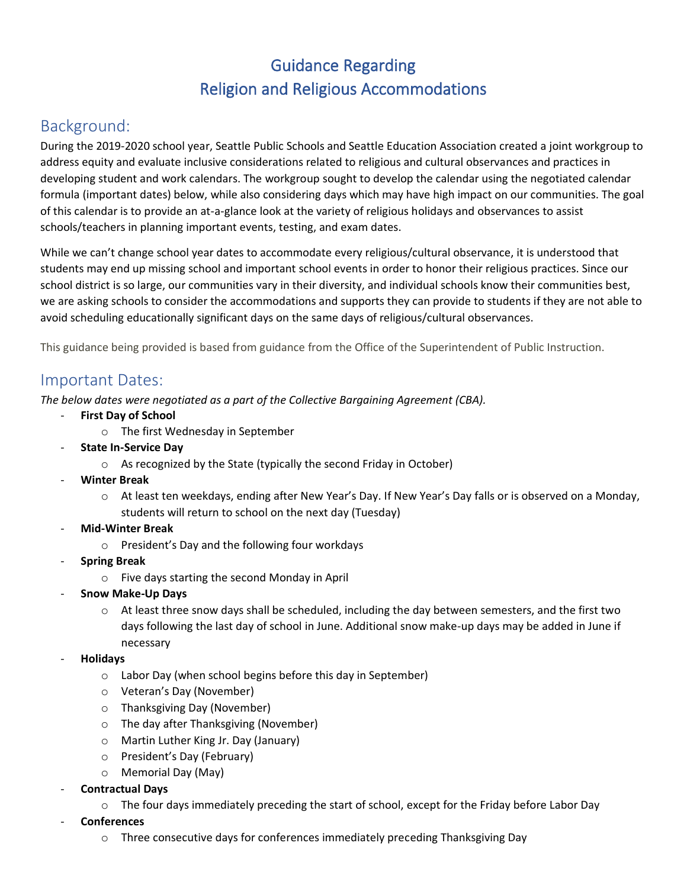# Guidance Regarding Religion and Religious Accommodations

## Background:

During the 2019-2020 school year, Seattle Public Schools and Seattle Education Association created a joint workgroup to address equity and evaluate inclusive considerations related to religious and cultural observances and practices in developing student and work calendars. The workgroup sought to develop the calendar using the negotiated calendar formula (important dates) below, while also considering days which may have high impact on our communities. The goal of this calendar is to provide an at-a-glance look at the variety of religious holidays and observances to assist schools/teachers in planning important events, testing, and exam dates.

While we can't change school year dates to accommodate every religious/cultural observance, it is understood that students may end up missing school and important school events in order to honor their religious practices. Since our school district is so large, our communities vary in their diversity, and individual schools know their communities best, we are asking schools to consider the accommodations and supports they can provide to students if they are not able to avoid scheduling educationally significant days on the same days of religious/cultural observances.

This guidance being provided is based from guidance from the Office of the Superintendent of Public Instruction.

## Important Dates:

*The below dates were negotiated as a part of the Collective Bargaining Agreement (CBA).*

- **First Day of School** 
	- o The first Wednesday in September
- **State In-Service Day** 
	- o As recognized by the State (typically the second Friday in October)
- **Winter Break** 
	- o At least ten weekdays, ending after New Year's Day. If New Year's Day falls or is observed on a Monday, students will return to school on the next day (Tuesday)
- **Mid-Winter Break**
	- o President's Day and the following four workdays
- **Spring Break**
	- o Five days starting the second Monday in April
- **Snow Make-Up Days**
	- $\circ$  At least three snow days shall be scheduled, including the day between semesters, and the first two days following the last day of school in June. Additional snow make-up days may be added in June if necessary
- **Holidays**
	- o Labor Day (when school begins before this day in September)
	- o Veteran's Day (November)
	- o Thanksgiving Day (November)
	- o The day after Thanksgiving (November)
	- o Martin Luther King Jr. Day (January)
	- o President's Day (February)
	- o Memorial Day (May)
- **Contractual Days**
	- $\circ$  The four days immediately preceding the start of school, except for the Friday before Labor Day
- **Conferences**
	- o Three consecutive days for conferences immediately preceding Thanksgiving Day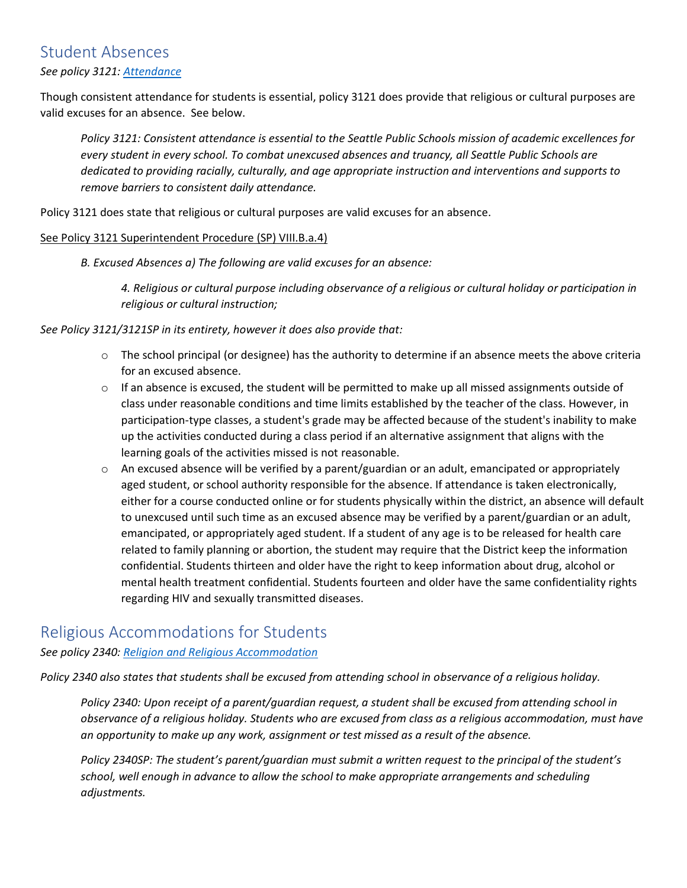## Student Absences

#### *See policy 3121: [Attendance](https://www.seattleschools.org/UserFiles/Servers/Server_543/File/District/Departments/School%20Board/Policies/Series%203000/3121.pdf)*

Though consistent attendance for students is essential, policy 3121 does provide that religious or cultural purposes are valid excuses for an absence. See below.

*Policy 3121: Consistent attendance is essential to the Seattle Public Schools mission of academic excellences for every student in every school. To combat unexcused absences and truancy, all Seattle Public Schools are dedicated to providing racially, culturally, and age appropriate instruction and interventions and supports to remove barriers to consistent daily attendance.* 

Policy 3121 does state that religious or cultural purposes are valid excuses for an absence.

#### See Policy 3121 Superintendent Procedure (SP) VIII.B.a.4)

*B. Excused Absences a) The following are valid excuses for an absence:*

*4. Religious or cultural purpose including observance of a religious or cultural holiday or participation in religious or cultural instruction;*

#### *See Policy 3121/3121SP in its entirety, however it does also provide that:*

- $\circ$  The school principal (or designee) has the authority to determine if an absence meets the above criteria for an excused absence.
- $\circ$  If an absence is excused, the student will be permitted to make up all missed assignments outside of class under reasonable conditions and time limits established by the teacher of the class. However, in participation-type classes, a student's grade may be affected because of the student's inability to make up the activities conducted during a class period if an alternative assignment that aligns with the learning goals of the activities missed is not reasonable.
- $\circ$  An excused absence will be verified by a parent/guardian or an adult, emancipated or appropriately aged student, or school authority responsible for the absence. If attendance is taken electronically, either for a course conducted online or for students physically within the district, an absence will default to unexcused until such time as an excused absence may be verified by a parent/guardian or an adult, emancipated, or appropriately aged student. If a student of any age is to be released for health care related to family planning or abortion, the student may require that the District keep the information confidential. Students thirteen and older have the right to keep information about drug, alcohol or mental health treatment confidential. Students fourteen and older have the same confidentiality rights regarding HIV and sexually transmitted diseases.

#### Religious Accommodations for Students

#### *See policy 2340: [Religion and Religious Accommodation](https://www.seattleschools.org/UserFiles/Servers/Server_543/File/District/Departments/School%20Board/Policies/Series%202000/2340.pdf)*

*Policy 2340 also states that students shall be excused from attending school in observance of a religious holiday.*

*Policy 2340: Upon receipt of a parent/guardian request, a student shall be excused from attending school in observance of a religious holiday. Students who are excused from class as a religious accommodation, must have an opportunity to make up any work, assignment or test missed as a result of the absence.*

*Policy 2340SP: The student's parent/guardian must submit a written request to the principal of the student's school, well enough in advance to allow the school to make appropriate arrangements and scheduling adjustments.*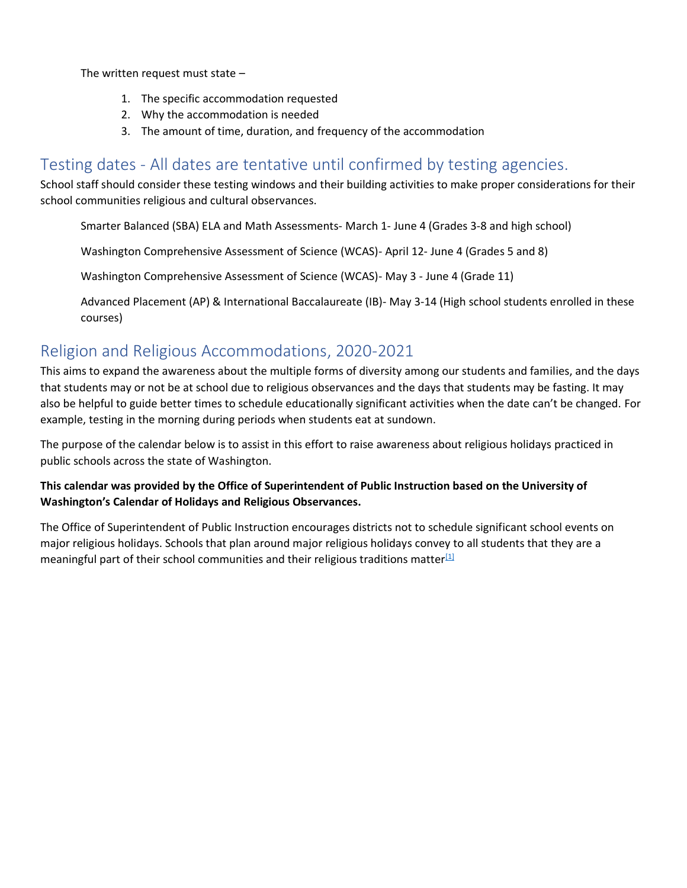The written request must state –

- 1. The specific accommodation requested
- 2. Why the accommodation is needed
- 3. The amount of time, duration, and frequency of the accommodation

## Testing dates - All dates are tentative until confirmed by testing agencies.

School staff should consider these testing windows and their building activities to make proper considerations for their school communities religious and cultural observances.

Smarter Balanced (SBA) ELA and Math Assessments- March 1- June 4 (Grades 3-8 and high school)

Washington Comprehensive Assessment of Science (WCAS)- April 12- June 4 (Grades 5 and 8)

Washington Comprehensive Assessment of Science (WCAS)- May 3 - June 4 (Grade 11)

Advanced Placement (AP) & International Baccalaureate (IB)- May 3-14 (High school students enrolled in these courses)

## Religion and Religious Accommodations, 2020-2021

This aims to expand the awareness about the multiple forms of diversity among our students and families, and the days that students may or not be at school due to religious observances and the days that students may be fasting. It may also be helpful to guide better times to schedule educationally significant activities when the date can't be changed. For example, testing in the morning during periods when students eat at sundown.

The purpose of the calendar below is to assist in this effort to raise awareness about religious holidays practiced in public schools across the state of Washington.

**This calendar was provided by the Office of Superintendent of Public Instruction based on the University of Washington's Calendar of Holidays and Religious Observances.**

The Office of Superintendent of Public Instruction encourages districts not to schedule significant school events on major religious holidays. Schools that plan around major religious holidays convey to all students that they are a meaningful part of their school communities and their religious traditions matter $[1]$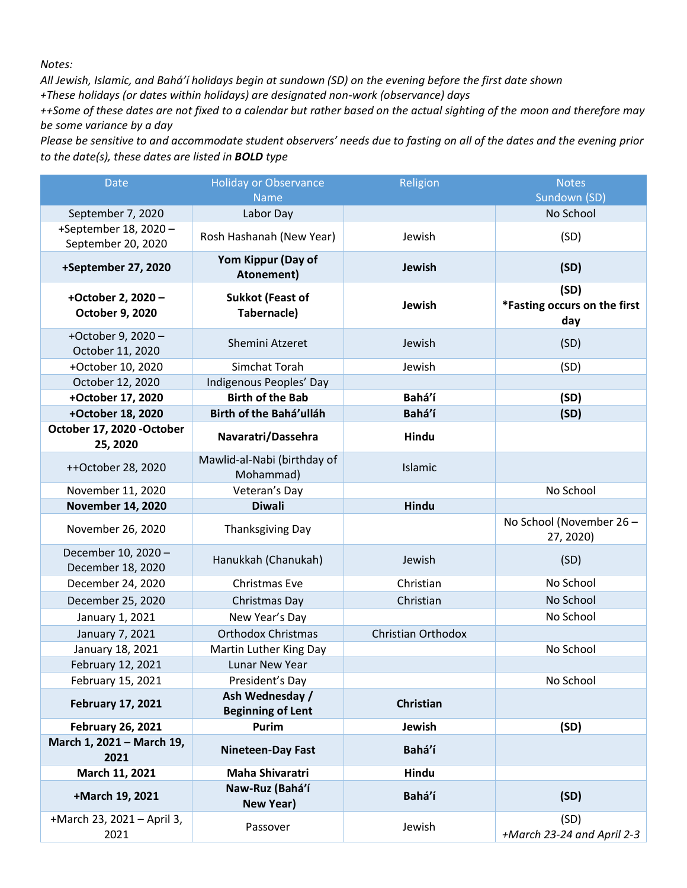*Notes:*

*All Jewish, Islamic, and Bahá'í holidays begin at sundown (SD) on the evening before the first date shown +These holidays (or dates within holidays) are designated non-work (observance) days*

*++Some of these dates are not fixed to a calendar but rather based on the actual sighting of the moon and therefore may be some variance by a day*

*Please be sensitive to and accommodate student observers' needs due to fasting on all of the dates and the evening prior to the date(s), these dates are listed in BOLD type*

| Date                                        | <b>Holiday or Observance</b><br><b>Name</b> | Religion           | <b>Notes</b><br>Sundown (SD)                |  |
|---------------------------------------------|---------------------------------------------|--------------------|---------------------------------------------|--|
| September 7, 2020                           | Labor Day                                   |                    | No School                                   |  |
| +September 18, 2020 -<br>September 20, 2020 | Rosh Hashanah (New Year)                    | Jewish             | (SD)                                        |  |
| +September 27, 2020                         | Yom Kippur (Day of<br>Atonement)            | Jewish             | (SD)                                        |  |
| +October 2, 2020 -<br>October 9, 2020       | <b>Sukkot (Feast of</b><br>Tabernacle)      | Jewish             | (SD)<br>*Fasting occurs on the first<br>day |  |
| +October 9, 2020 -<br>October 11, 2020      | Shemini Atzeret                             | Jewish             | (SD)                                        |  |
| +October 10, 2020                           | Simchat Torah                               | Jewish             | (SD)                                        |  |
| October 12, 2020                            | Indigenous Peoples' Day                     |                    |                                             |  |
| +October 17, 2020                           | <b>Birth of the Bab</b>                     | Bahá'í             | (SD)                                        |  |
| +October 18, 2020                           | Birth of the Bahá'ulláh                     | Bahá'í             | (SD)                                        |  |
| October 17, 2020 - October<br>25, 2020      | Navaratri/Dassehra                          | Hindu              |                                             |  |
| ++October 28, 2020                          | Mawlid-al-Nabi (birthday of<br>Mohammad)    | Islamic            |                                             |  |
| November 11, 2020                           | Veteran's Day                               |                    | No School                                   |  |
| <b>November 14, 2020</b>                    | <b>Diwali</b>                               | Hindu              |                                             |  |
| November 26, 2020                           | Thanksgiving Day                            |                    | No School (November 26 -<br>27, 2020)       |  |
| December 10, 2020 -<br>December 18, 2020    | Hanukkah (Chanukah)                         | Jewish             | (SD)                                        |  |
| December 24, 2020                           | Christmas Eve                               | Christian          | No School                                   |  |
| December 25, 2020                           | Christmas Day                               | Christian          | No School                                   |  |
| January 1, 2021                             | New Year's Day                              |                    | No School                                   |  |
| January 7, 2021                             | <b>Orthodox Christmas</b>                   | Christian Orthodox |                                             |  |
| January 18, 2021                            | Martin Luther King Day                      |                    | No School                                   |  |
| February 12, 2021                           | Lunar New Year                              |                    |                                             |  |
| February 15, 2021                           | President's Day                             |                    | No School                                   |  |
| <b>February 17, 2021</b>                    | Ash Wednesday /<br><b>Beginning of Lent</b> | <b>Christian</b>   |                                             |  |
| <b>February 26, 2021</b>                    | Purim<br>Jewish                             |                    | (SD)                                        |  |
| March 1, 2021 - March 19,<br>2021           | <b>Nineteen-Day Fast</b>                    | Bahá'í             |                                             |  |
| March 11, 2021                              | <b>Maha Shivaratri</b>                      | Hindu              |                                             |  |
| +March 19, 2021                             | Naw-Ruz (Bahá'í<br><b>New Year)</b>         | Bahá'í             | (SD)                                        |  |
| +March 23, 2021 - April 3,<br>2021          | Passover                                    | Jewish             | (SD)<br>+March 23-24 and April 2-3          |  |